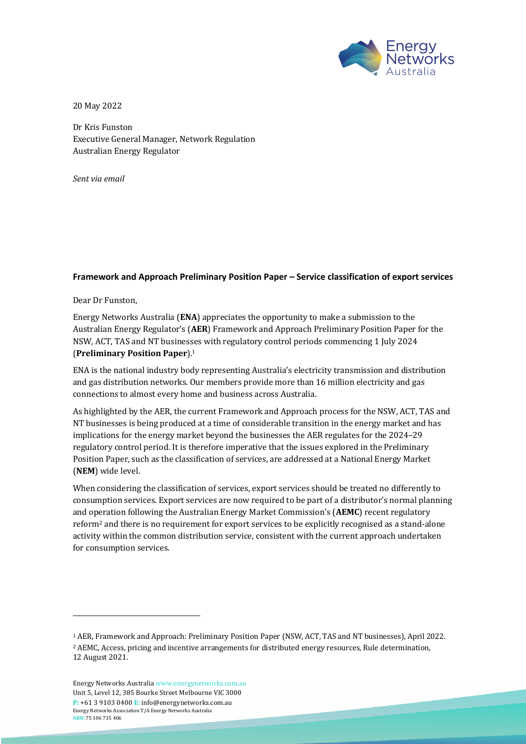

<u> The Communication of the Communication of the Communication of the Communication of the Communication of the Communication of the Communication of the Communication of the Communication of the Communication of the Commun</u>

20 May 2022

Dr Kris Funston Executive General Manager, Network Regulation Australian Energy Regulator

*Sent via email*

## **Framework and Approach Preliminary Position Paper – Service classification of export services**

Dear Dr Funston,

Energy Networks Australia (**ENA**) appreciates the opportunity to make a submission to the Australian Energy Regulator's (AER) Framework and Approach Preliminary Position Paper for the NSW, ACT, TAS and NT businesses with regulatory control periods commencing 1 July 2024 (**Preliminary Position Paper**). 1

ENA is the national industry body representing Australia's electricity transmission and distribution and gas distribution networks. Our members provide more than 16 million electricity and gas connections to almost every home and business across Australia.

As highlighted by the AER, the current Framework and Approach process for the NSW, ACT, TAS and NT businesses is being produced at a time of considerable transition in the energy market and has implications for the energy market beyond the businesses the AER regulates for the 2024–29 regulatory control period. It is therefore imperative that the issues explored in the Preliminary Position Paper, such as the classification of services, are addressed at a National Energy Market (**NEM**) wide level.

When considering the classification of services, export services should be treated no differently to consumption services. Export services are now required to be part of a distributor's normal planning and operation following the Australian Energy Market Commission's (AEMC) recent regulatory reform<sup>2</sup> and there is no requirement for export services to be explicitly recognised as a stand-alone activity within the common distribution service, consistent with the current approach undertaken for consumption services.

<sup>&</sup>lt;sup>1</sup> AER, Framework and Approach: Preliminary Position Paper (NSW, ACT, TAS and NT businesses), April 2022. <sup>2</sup> AEMC, Access, pricing and incentive arrangements for distributed energy resources, Rule determination,

<sup>12</sup> August 2021.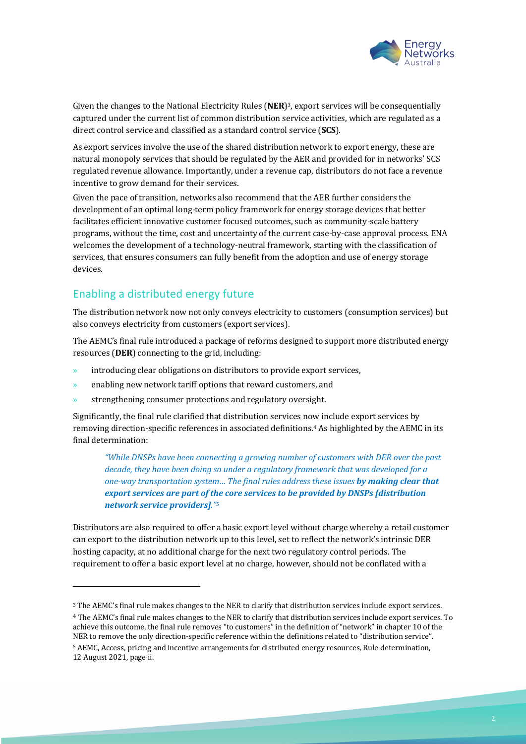

Given the changes to the National Electricity Rules (NER)<sup>3</sup>, export services will be consequentially captured under the current list of common distribution service activities, which are regulated as a direct control service and classified as a standard control service (SCS).

As export services involve the use of the shared distribution network to export energy, these are natural monopoly services that should be regulated by the AER and provided for in networks' SCS regulated revenue allowance. Importantly, under a revenue cap, distributors do not face a revenue incentive to grow demand for their services.

Given the pace of transition, networks also recommend that the AER further considers the development of an optimal long-term policy framework for energy storage devices that better facilitates efficient innovative customer focused outcomes, such as community-scale battery programs, without the time, cost and uncertainty of the current case-by-case approval process. ENA welcomes the development of a technology-neutral framework, starting with the classification of services, that ensures consumers can fully benefit from the adoption and use of energy storage devices. 

## Enabling a distributed energy future

The distribution network now not only conveys electricity to customers (consumption services) but also conveys electricity from customers (export services).

The AEMC's final rule introduced a package of reforms designed to support more distributed energy resources (DER) connecting to the grid, including:

- $\lambda$  introducing clear obligations on distributors to provide export services,
- $\lambda$  enabling new network tariff options that reward customers, and
- strengthening consumer protections and regulatory oversight.

Significantly, the final rule clarified that distribution services now include export services by removing direction-specific references in associated definitions.<sup>4</sup> As highlighted by the AEMC in its final determination:

*"While DNSPs have been connecting a growing number of customers with DER over the past decade, they have been doing so under a regulatory framework that was developed for a one-way* transportation system... The final rules address these issues **by making clear that** *export services are part of the core services to be provided by DNSPs [distribution network service providers]."5*

Distributors are also required to offer a basic export level without charge whereby a retail customer can export to the distribution network up to this level, set to reflect the network's intrinsic DER hosting capacity, at no additional charge for the next two regulatory control periods. The requirement to offer a basic export level at no charge, however, should not be conflated with a

<sup>4</sup> The AEMC's final rule makes changes to the NER to clarify that distribution services include export services. To achieve this outcome, the final rule removes "to customers" in the definition of "network" in chapter 10 of the NER to remove the only direction-specific reference within the definitions related to "distribution service". <sup>5</sup> AEMC, Access, pricing and incentive arrangements for distributed energy resources, Rule determination, 12 August 2021, page ii.

<sup>&</sup>lt;sup>3</sup> The AEMC's final rule makes changes to the NER to clarify that distribution services include export services.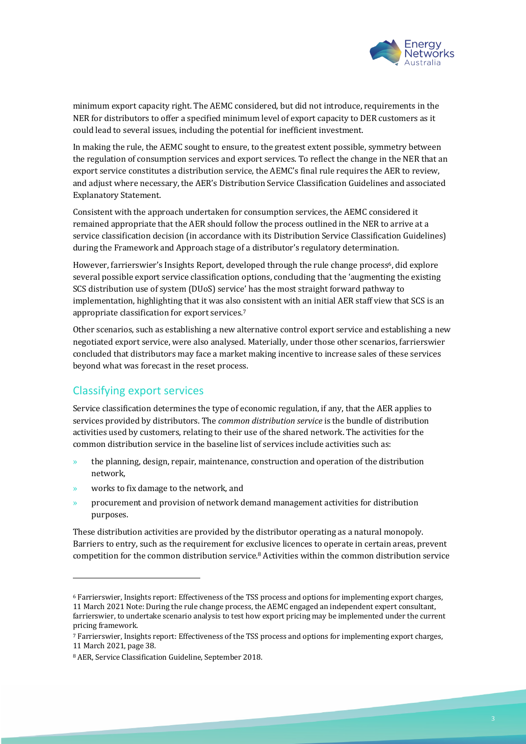

minimum export capacity right. The AEMC considered, but did not introduce, requirements in the NER for distributors to offer a specified minimum level of export capacity to DER customers as it could lead to several issues, including the potential for inefficient investment.

In making the rule, the AEMC sought to ensure, to the greatest extent possible, symmetry between the regulation of consumption services and export services. To reflect the change in the NER that an export service constitutes a distribution service, the AEMC's final rule requires the AER to review, and adjust where necessary, the AER's Distribution Service Classification Guidelines and associated Explanatory Statement. 

Consistent with the approach undertaken for consumption services, the AEMC considered it remained appropriate that the AER should follow the process outlined in the NER to arrive at a service classification decision (in accordance with its Distribution Service Classification Guidelines) during the Framework and Approach stage of a distributor's regulatory determination.

However, farrierswier's Insights Report, developed through the rule change process<sup>6</sup>, did explore several possible export service classification options, concluding that the 'augmenting the existing SCS distribution use of system (DUoS) service' has the most straight forward pathway to implementation, highlighting that it was also consistent with an initial AER staff view that SCS is an appropriate classification for export services.<sup>7</sup>

Other scenarios, such as establishing a new alternative control export service and establishing a new negotiated export service, were also analysed. Materially, under those other scenarios, farrierswier concluded that distributors may face a market making incentive to increase sales of these services beyond what was forecast in the reset process.

## Classifying export services

Service classification determines the type of economic regulation, if any, that the AER applies to services provided by distributors. The *common distribution service* is the bundle of distribution activities used by customers, relating to their use of the shared network. The activities for the common distribution service in the baseline list of services include activities such as:

- $\lambda$  the planning, design, repair, maintenance, construction and operation of the distribution network,
- works to fix damage to the network, and
- procurement and provision of network demand management activities for distribution purposes.

These distribution activities are provided by the distributor operating as a natural monopoly. Barriers to entry, such as the requirement for exclusive licences to operate in certain areas, prevent competition for the common distribution service.<sup>8</sup> Activities within the common distribution service

<sup>&</sup>lt;sup>6</sup> Farrierswier, Insights report: Effectiveness of the TSS process and options for implementing export charges, 11 March 2021 Note: During the rule change process, the AEMC engaged an independent expert consultant, farrierswier, to undertake scenario analysis to test how export pricing may be implemented under the current pricing framework.

<sup>7</sup> Farrierswier, Insights report: Effectiveness of the TSS process and options for implementing export charges, 11 March 2021, page 38.

<sup>&</sup>lt;sup>8</sup> AER, Service Classification Guideline, September 2018.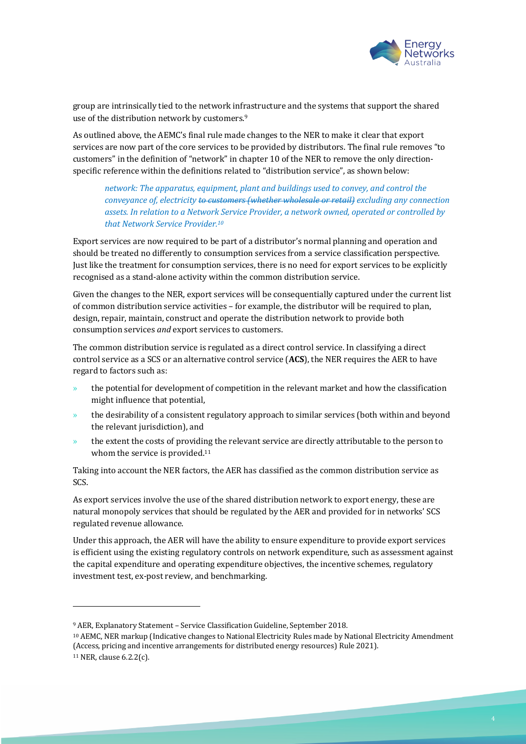

group are intrinsically tied to the network infrastructure and the systems that support the shared use of the distribution network by customers.<sup>9</sup>

As outlined above, the AEMC's final rule made changes to the NER to make it clear that export services are now part of the core services to be provided by distributors. The final rule removes "to customers" in the definition of "network" in chapter 10 of the NER to remove the only directionspecific reference within the definitions related to "distribution service", as shown below:

network: The apparatus, equipment, plant and buildings used to convey, and control the *conveyance of, electricity to customers (whether wholesale or retail) excluding any connection* assets. In relation to a Network Service Provider, a network owned, operated or controlled by *that Network Service Provider.10*

Export services are now required to be part of a distributor's normal planning and operation and should be treated no differently to consumption services from a service classification perspective. Just like the treatment for consumption services, there is no need for export services to be explicitly recognised as a stand-alone activity within the common distribution service.

Given the changes to the NER, export services will be consequentially captured under the current list of common distribution service activities – for example, the distributor will be required to plan, design, repair, maintain, construct and operate the distribution network to provide both consumption services *and* export services to customers.

The common distribution service is regulated as a direct control service. In classifying a direct control service as a SCS or an alternative control service (ACS), the NER requires the AER to have regard to factors such as:

- the potential for development of competition in the relevant market and how the classification might influence that potential,
- the desirability of a consistent regulatory approach to similar services (both within and beyond the relevant jurisdiction), and
- the extent the costs of providing the relevant service are directly attributable to the person to whom the service is provided.<sup>11</sup>

Taking into account the NER factors, the AER has classified as the common distribution service as SCS.

As export services involve the use of the shared distribution network to export energy, these are natural monopoly services that should be regulated by the AER and provided for in networks' SCS regulated revenue allowance.

Under this approach, the AER will have the ability to ensure expenditure to provide export services is efficient using the existing regulatory controls on network expenditure, such as assessment against the capital expenditure and operating expenditure objectives, the incentive schemes, regulatory investment test, ex-post review, and benchmarking.

<sup>&</sup>lt;sup>9</sup> AER, Explanatory Statement - Service Classification Guideline, September 2018.

<sup>&</sup>lt;sup>10</sup> AEMC, NER markup (Indicative changes to National Electricity Rules made by National Electricity Amendment (Access, pricing and incentive arrangements for distributed energy resources) Rule 2021).

 $11$  NER, clause 6.2.2(c).